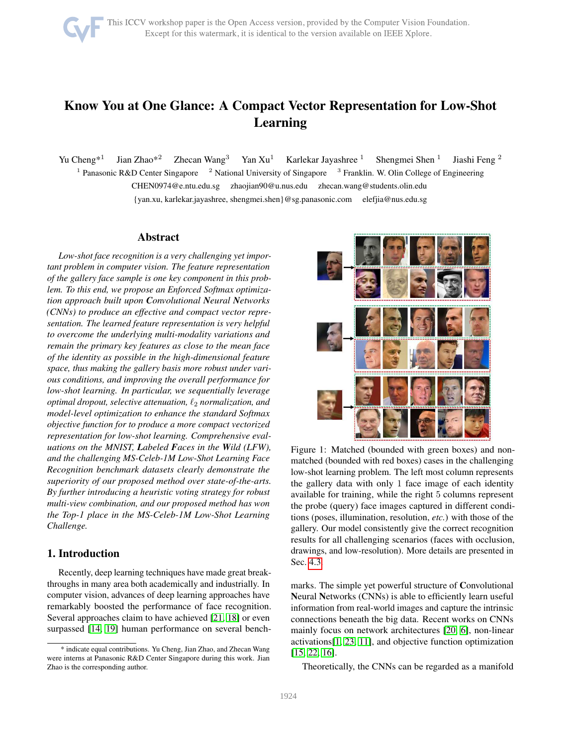# Know You at One Glance: A Compact Vector Representation for Low-Shot Learning

Yu Cheng<sup>\*1</sup> Jian Zhao\*<sup>2</sup> Zhecan Wang<sup>3</sup> Yan Xu<sup>1</sup> Karlekar Jayashree <sup>1</sup> Shengmei Shen <sup>1</sup> Jiashi Feng <sup>2</sup> <sup>1</sup> Panasonic R&D Center Singapore Panasonic R&D Center Singapore <sup>2</sup> National University of Singapore <sup>3</sup> Franklin. W. Olin College of Engineering CHEN0974@e.ntu.edu.sg zhaojian90@u.nus.edu zhecan.wang@students.olin.edu {yan.xu, karlekar.jayashree, shengmei.shen}@sg.panasonic.com elefjia@nus.edu.sg

#### Abstract

*Low-shot face recognition is a very challenging yet important problem in computer vision. The feature representation of the gallery face sample is one key component in this problem. To this end, we propose an Enforced Softmax optimization approach built upon Convolutional Neural Networks (CNNs) to produce an effective and compact vector representation. The learned feature representation is very helpful to overcome the underlying multi-modality variations and remain the primary key features as close to the mean face of the identity as possible in the high-dimensional feature space, thus making the gallery basis more robust under various conditions, and improving the overall performance for low-shot learning. In particular, we sequentially leverage optimal dropout, selective attenuation,*  $\ell_2$  *normalization, and model-level optimization to enhance the standard Softmax objective function for to produce a more compact vectorized representation for low-shot learning. Comprehensive evaluations on the MNIST, Labeled Faces in the Wild (LFW), and the challenging MS-Celeb-1M Low-Shot Learning Face Recognition benchmark datasets clearly demonstrate the superiority of our proposed method over state-of-the-arts. By further introducing a heuristic voting strategy for robust multi-view combination, and our proposed method has won the Top-1 place in the MS-Celeb-1M Low-Shot Learning Challenge.*

# 1. Introduction

Recently, deep learning techniques have made great breakthroughs in many area both academically and industrially. In computer vision, advances of deep learning approaches have remarkably boosted the performance of face recognition. Several approaches claim to have achieved [\[21,](#page-8-0) [18\]](#page-8-1) or even surpassed [\[14,](#page-8-2) [19\]](#page-8-3) human performance on several bench-

<span id="page-0-0"></span>

Figure 1: Matched (bounded with green boxes) and nonmatched (bounded with red boxes) cases in the challenging low-shot learning problem. The left most column represents the gallery data with only 1 face image of each identity available for training, while the right 5 columns represent the probe (query) face images captured in different conditions (poses, illumination, resolution, *etc.*) with those of the gallery. Our model consistently give the correct recognition results for all challenging scenarios (faces with occlusion, drawings, and low-resolution). More details are presented in Sec. [4.3.](#page-5-0)

marks. The simple yet powerful structure of Convolutional Neural Networks (CNNs) is able to efficiently learn useful information from real-world images and capture the intrinsic connections beneath the big data. Recent works on CNNs mainly focus on network architectures [\[20,](#page-8-4) [6\]](#page-8-5), non-linear activations[\[1,](#page-8-6) [23,](#page-8-7) [11\]](#page-8-8), and objective function optimization [\[15,](#page-8-9) [22,](#page-8-10) [16\]](#page-8-11).

Theoretically, the CNNs can be regarded as a manifold

<sup>\*</sup> indicate equal contributions. Yu Cheng, Jian Zhao, and Zhecan Wang were interns at Panasonic R&D Center Singapore during this work. Jian Zhao is the corresponding author.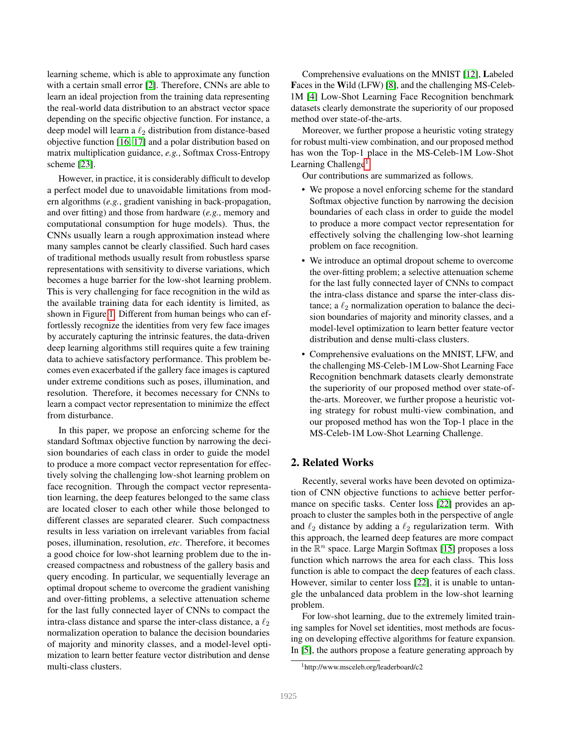learning scheme, which is able to approximate any function with a certain small error [\[2\]](#page-8-12). Therefore, CNNs are able to learn an ideal projection from the training data representing the real-world data distribution to an abstract vector space depending on the specific objective function. For instance, a deep model will learn a  $\ell_2$  distribution from distance-based objective function [\[16,](#page-8-11) [17\]](#page-8-13) and a polar distribution based on matrix multiplication guidance, *e.g.*, Softmax Cross-Entropy scheme [\[23\]](#page-8-7).

However, in practice, it is considerably difficult to develop a perfect model due to unavoidable limitations from modern algorithms (*e.g.*, gradient vanishing in back-propagation, and over fitting) and those from hardware (*e.g.*, memory and computational consumption for huge models). Thus, the CNNs usually learn a rough approximation instead where many samples cannot be clearly classified. Such hard cases of traditional methods usually result from robustless sparse representations with sensitivity to diverse variations, which becomes a huge barrier for the low-shot learning problem. This is very challenging for face recognition in the wild as the available training data for each identity is limited, as shown in Figure [1.](#page-0-0) Different from human beings who can effortlessly recognize the identities from very few face images by accurately capturing the intrinsic features, the data-driven deep learning algorithms still requires quite a few training data to achieve satisfactory performance. This problem becomes even exacerbated if the gallery face images is captured under extreme conditions such as poses, illumination, and resolution. Therefore, it becomes necessary for CNNs to learn a compact vector representation to minimize the effect from disturbance.

In this paper, we propose an enforcing scheme for the standard Softmax objective function by narrowing the decision boundaries of each class in order to guide the model to produce a more compact vector representation for effectively solving the challenging low-shot learning problem on face recognition. Through the compact vector representation learning, the deep features belonged to the same class are located closer to each other while those belonged to different classes are separated clearer. Such compactness results in less variation on irrelevant variables from facial poses, illumination, resolution, *etc*. Therefore, it becomes a good choice for low-shot learning problem due to the increased compactness and robustness of the gallery basis and query encoding. In particular, we sequentially leverage an optimal dropout scheme to overcome the gradient vanishing and over-fitting problems, a selective attenuation scheme for the last fully connected layer of CNNs to compact the intra-class distance and sparse the inter-class distance, a  $\ell_2$ normalization operation to balance the decision boundaries of majority and minority classes, and a model-level optimization to learn better feature vector distribution and dense multi-class clusters.

Comprehensive evaluations on the MNIST [\[12\]](#page-8-14), Labeled Faces in the Wild (LFW) [\[8\]](#page-8-15), and the challenging MS-Celeb-1M [\[4\]](#page-8-16) Low-Shot Learning Face Recognition benchmark datasets clearly demonstrate the superiority of our proposed method over state-of-the-arts.

Moreover, we further propose a heuristic voting strategy for robust multi-view combination, and our proposed method has won the Top-1 place in the MS-Celeb-1M Low-Shot Learning Challenge<sup>[1](#page-1-0)</sup>.

Our contributions are summarized as follows.

- We propose a novel enforcing scheme for the standard Softmax objective function by narrowing the decision boundaries of each class in order to guide the model to produce a more compact vector representation for effectively solving the challenging low-shot learning problem on face recognition.
- We introduce an optimal dropout scheme to overcome the over-fitting problem; a selective attenuation scheme for the last fully connected layer of CNNs to compact the intra-class distance and sparse the inter-class distance; a  $\ell_2$  normalization operation to balance the decision boundaries of majority and minority classes, and a model-level optimization to learn better feature vector distribution and dense multi-class clusters.
- Comprehensive evaluations on the MNIST, LFW, and the challenging MS-Celeb-1M Low-Shot Learning Face Recognition benchmark datasets clearly demonstrate the superiority of our proposed method over state-ofthe-arts. Moreover, we further propose a heuristic voting strategy for robust multi-view combination, and our proposed method has won the Top-1 place in the MS-Celeb-1M Low-Shot Learning Challenge.

# 2. Related Works

Recently, several works have been devoted on optimization of CNN objective functions to achieve better performance on specific tasks. Center loss [\[22\]](#page-8-10) provides an approach to cluster the samples both in the perspective of angle and  $\ell_2$  distance by adding a  $\ell_2$  regularization term. With this approach, the learned deep features are more compact in the  $\mathbb{R}^n$  space. Large Margin Softmax [\[15\]](#page-8-9) proposes a loss function which narrows the area for each class. This loss function is able to compact the deep features of each class. However, similar to center loss [\[22\]](#page-8-10), it is unable to untangle the unbalanced data problem in the low-shot learning problem.

For low-shot learning, due to the extremely limited training samples for Novel set identities, most methods are focusing on developing effective algorithms for feature expansion. In [\[5\]](#page-8-17), the authors propose a feature generating approach by

<span id="page-1-0"></span><sup>1</sup>http://www.msceleb.org/leaderboard/c2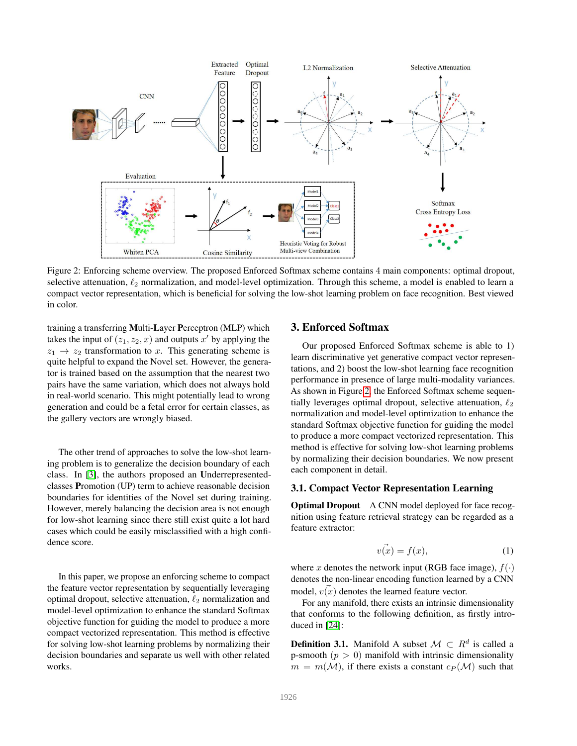<span id="page-2-0"></span>

Figure 2: Enforcing scheme overview. The proposed Enforced Softmax scheme contains 4 main components: optimal dropout, selective attenuation,  $\ell_2$  normalization, and model-level optimization. Through this scheme, a model is enabled to learn a compact vector representation, which is beneficial for solving the low-shot learning problem on face recognition. Best viewed in color.

training a transferring Multi-Layer Perceptron (MLP) which takes the input of  $(z_1, z_2, x)$  and outputs  $x'$  by applying the  $z_1 \rightarrow z_2$  transformation to x. This generating scheme is quite helpful to expand the Novel set. However, the generator is trained based on the assumption that the nearest two pairs have the same variation, which does not always hold in real-world scenario. This might potentially lead to wrong generation and could be a fetal error for certain classes, as the gallery vectors are wrongly biased.

The other trend of approaches to solve the low-shot learning problem is to generalize the decision boundary of each class. In [\[3\]](#page-8-18), the authors proposed an Underrepresentedclasses Promotion (UP) term to achieve reasonable decision boundaries for identities of the Novel set during training. However, merely balancing the decision area is not enough for low-shot learning since there still exist quite a lot hard cases which could be easily misclassified with a high confidence score.

In this paper, we propose an enforcing scheme to compact the feature vector representation by sequentially leveraging optimal dropout, selective attenuation,  $\ell_2$  normalization and model-level optimization to enhance the standard Softmax objective function for guiding the model to produce a more compact vectorized representation. This method is effective for solving low-shot learning problems by normalizing their decision boundaries and separate us well with other related works.

#### 3. Enforced Softmax

Our proposed Enforced Softmax scheme is able to 1) learn discriminative yet generative compact vector representations, and 2) boost the low-shot learning face recognition performance in presence of large multi-modality variances. As shown in Figure [2,](#page-2-0) the Enforced Softmax scheme sequentially leverages optimal dropout, selective attenuation,  $\ell_2$ normalization and model-level optimization to enhance the standard Softmax objective function for guiding the model to produce a more compact vectorized representation. This method is effective for solving low-shot learning problems by normalizing their decision boundaries. We now present each component in detail.

#### 3.1. Compact Vector Representation Learning

Optimal Dropout A CNN model deployed for face recognition using feature retrieval strategy can be regarded as a feature extractor:

$$
v(x) = f(x),\tag{1}
$$

where x denotes the network input (RGB face image),  $f(\cdot)$ denotes the non-linear encoding function learned by a CNN model,  $v(x)$  denotes the learned feature vector.

For any manifold, there exists an intrinsic dimensionality that conforms to the following definition, as firstly introduced in [\[24\]](#page-8-19):

<span id="page-2-1"></span>**Definition 3.1.** Manifold A subset  $\mathcal{M} \subset R^d$  is called a p-smooth  $(p > 0)$  manifold with intrinsic dimensionality  $m = m(\mathcal{M})$ , if there exists a constant  $c_P(\mathcal{M})$  such that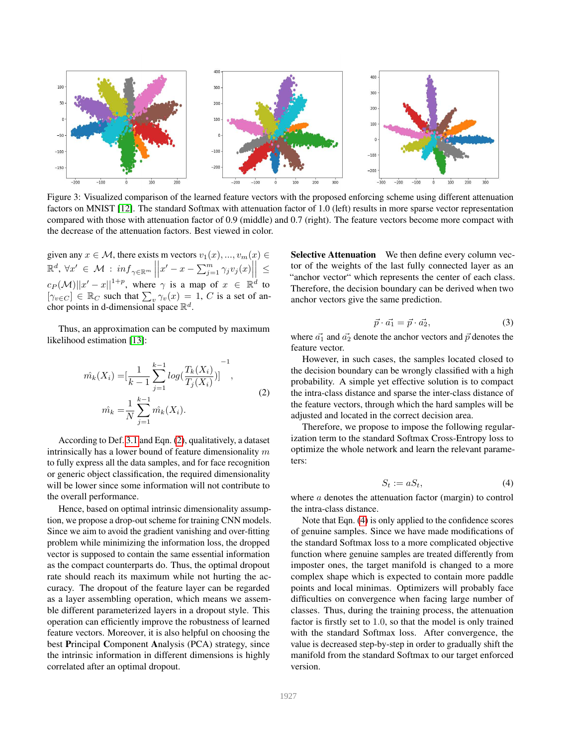<span id="page-3-3"></span>

Figure 3: Visualized comparison of the learned feature vectors with the proposed enforcing scheme using different attenuation factors on MNIST [\[12\]](#page-8-14). The standard Softmax with attenuation factor of 1.0 (left) results in more sparse vector representation compared with those with attenuation factor of 0.9 (middle) and 0.7 (right). The feature vectors become more compact with the decrease of the attenuation factors. Best viewed in color.

given any  $x \in \mathcal{M}$ , there exists m vectors  $v_1(x), ..., v_m(x) \in$  $\mathbb{R}^d$ ,  $\forall x' \in \mathcal{M} : \inf_{\gamma \in \mathbb{R}^m} ||x' - x - \sum_{j=1}^m \gamma_j v_j(x)|| \leq$  $\begin{bmatrix} 1 & \mathbf{Z} & \mathbf{Z} & \mathbf{Z} & \mathbf{Z} & \mathbf{Z} & \mathbf{Z} & \mathbf{Z} & \mathbf{Z} & \mathbf{Z} & \mathbf{Z} & \mathbf{Z} & \mathbf{Z} & \mathbf{Z} & \mathbf{Z} & \mathbf{Z} & \mathbf{Z} & \mathbf{Z} & \mathbf{Z} & \mathbf{Z} & \mathbf{Z} & \mathbf{Z} & \mathbf{Z} & \mathbf{Z} & \mathbf{Z} & \mathbf{Z} & \mathbf{Z} & \mathbf{Z} & \mathbf{Z} & \mathbf{Z} & \mathbf{Z} & \$  $c_P(\mathcal{M})||x'-x||^{1+p}$ , where  $\gamma$  is a map of  $x \in \mathbb{R}^d$  to  $[\gamma_{v\in C}] \in \mathbb{R}_C$  such that  $\sum_{v} \gamma_{v}(x) = 1$ , C is a set of anchor points in d-dimensional space  $\mathbb{R}^d$ .

Thus, an approximation can be computed by maximum likelihood estimation [\[13\]](#page-8-20):

<span id="page-3-0"></span>
$$
\hat{m_k}(X_i) = \left[\frac{1}{k-1} \sum_{j=1}^{k-1} \log\left(\frac{T_k(X_i)}{T_j(X_i)}\right)\right]^{-1},
$$
\n
$$
\hat{m_k} = \frac{1}{N} \sum_{j=1}^{k-1} \hat{m_k}(X_i).
$$
\n(2)

According to Def. [3.1](#page-2-1) and Eqn. [\(2\)](#page-3-0), qualitatively, a dataset intrinsically has a lower bound of feature dimensionality  $m$ to fully express all the data samples, and for face recognition or generic object classification, the required dimensionality will be lower since some information will not contribute to the overall performance.

Hence, based on optimal intrinsic dimensionality assumption, we propose a drop-out scheme for training CNN models. Since we aim to avoid the gradient vanishing and over-fitting problem while minimizing the information loss, the dropped vector is supposed to contain the same essential information as the compact counterparts do. Thus, the optimal dropout rate should reach its maximum while not hurting the accuracy. The dropout of the feature layer can be regarded as a layer assembling operation, which means we assemble different parameterized layers in a dropout style. This operation can efficiently improve the robustness of learned feature vectors. Moreover, it is also helpful on choosing the best Principal Component Analysis (PCA) strategy, since the intrinsic information in different dimensions is highly correlated after an optimal dropout.

Selective Attenuation We then define every column vector of the weights of the last fully connected layer as an "anchor vector" which represents the center of each class. Therefore, the decision boundary can be derived when two anchor vectors give the same prediction.

<span id="page-3-2"></span>
$$
\vec{p} \cdot \vec{a_1} = \vec{p} \cdot \vec{a_2},\tag{3}
$$

where  $\vec{a_1}$  and  $\vec{a_2}$  denote the anchor vectors and  $\vec{p}$  denotes the feature vector.

However, in such cases, the samples located closed to the decision boundary can be wrongly classified with a high probability. A simple yet effective solution is to compact the intra-class distance and sparse the inter-class distance of the feature vectors, through which the hard samples will be adjusted and located in the correct decision area.

Therefore, we propose to impose the following regularization term to the standard Softmax Cross-Entropy loss to optimize the whole network and learn the relevant parameters:

<span id="page-3-1"></span>
$$
S_t := aS_t,\tag{4}
$$

where a denotes the attenuation factor (margin) to control the intra-class distance.

Note that Eqn. [\(4\)](#page-3-1) is only applied to the confidence scores of genuine samples. Since we have made modifications of the standard Softmax loss to a more complicated objective function where genuine samples are treated differently from imposter ones, the target manifold is changed to a more complex shape which is expected to contain more paddle points and local minimas. Optimizers will probably face difficulties on convergence when facing large number of classes. Thus, during the training process, the attenuation factor is firstly set to 1.0, so that the model is only trained with the standard Softmax loss. After convergence, the value is decreased step-by-step in order to gradually shift the manifold from the standard Softmax to our target enforced version.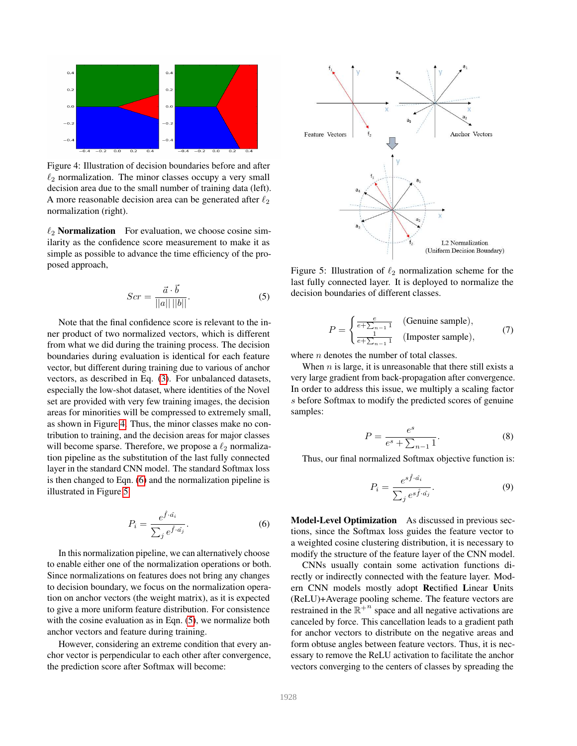<span id="page-4-0"></span>

Figure 4: Illustration of decision boundaries before and after  $\ell_2$  normalization. The minor classes occupy a very small decision area due to the small number of training data (left). A more reasonable decision area can be generated after  $\ell_2$ normalization (right).

 $\ell_2$  **Normalization** For evaluation, we choose cosine similarity as the confidence score measurement to make it as simple as possible to advance the time efficiency of the proposed approach,

<span id="page-4-3"></span>
$$
Scr = \frac{\vec{a} \cdot \vec{b}}{||a|| ||b||}.
$$
 (5)

Note that the final confidence score is relevant to the inner product of two normalized vectors, which is different from what we did during the training process. The decision boundaries during evaluation is identical for each feature vector, but different during training due to various of anchor vectors, as described in Eq. [\(3\)](#page-3-2). For unbalanced datasets, especially the low-shot dataset, where identities of the Novel set are provided with very few training images, the decision areas for minorities will be compressed to extremely small, as shown in Figure [4.](#page-4-0) Thus, the minor classes make no contribution to training, and the decision areas for major classes will become sparse. Therefore, we propose a  $\ell_2$  normalization pipeline as the substitution of the last fully connected layer in the standard CNN model. The standard Softmax loss is then changed to Eqn. [\(6\)](#page-4-1) and the normalization pipeline is illustrated in Figure [5.](#page-4-2)

<span id="page-4-1"></span>
$$
P_i = \frac{e^{\hat{f} \cdot \hat{a}_i}}{\sum_j e^{\hat{f} \cdot \hat{a}_j}}.
$$
 (6)

In this normalization pipeline, we can alternatively choose to enable either one of the normalization operations or both. Since normalizations on features does not bring any changes to decision boundary, we focus on the normalization operation on anchor vectors (the weight matrix), as it is expected to give a more uniform feature distribution. For consistence with the cosine evaluation as in Eqn. [\(5\)](#page-4-3), we normalize both anchor vectors and feature during training.

However, considering an extreme condition that every anchor vector is perpendicular to each other after convergence, the prediction score after Softmax will become:

<span id="page-4-2"></span>

Figure 5: Illustration of  $\ell_2$  normalization scheme for the last fully connected layer. It is deployed to normalize the decision boundaries of different classes.

$$
P = \begin{cases} \frac{e}{e + \sum_{n=1}^{n} 1} & \text{(Genuine sample)},\\ \frac{1}{e + \sum_{n=1}^{n} 1} & \text{(Imposer sample)}, \end{cases}
$$
(7)

where *n* denotes the number of total classes.

When  $n$  is large, it is unreasonable that there still exists a very large gradient from back-propagation after convergence. In order to address this issue, we multiply a scaling factor s before Softmax to modify the predicted scores of genuine samples:

$$
P = \frac{e^s}{e^s + \sum_{n-1} 1}.
$$
 (8)

Thus, our final normalized Softmax objective function is:

$$
P_i = \frac{e^{s\hat{f}\cdot\hat{a_i}}}{\sum_j e^{s\hat{f}\cdot\hat{a_j}}}.
$$
\n(9)

Model-Level Optimization As discussed in previous sections, since the Softmax loss guides the feature vector to a weighted cosine clustering distribution, it is necessary to modify the structure of the feature layer of the CNN model.

CNNs usually contain some activation functions directly or indirectly connected with the feature layer. Modern CNN models mostly adopt Rectified Linear Units (ReLU)+Average pooling scheme. The feature vectors are restrained in the  $\mathbb{R}^{+n}$  space and all negative activations are canceled by force. This cancellation leads to a gradient path for anchor vectors to distribute on the negative areas and form obtuse angles between feature vectors. Thus, it is necessary to remove the ReLU activation to facilitate the anchor vectors converging to the centers of classes by spreading the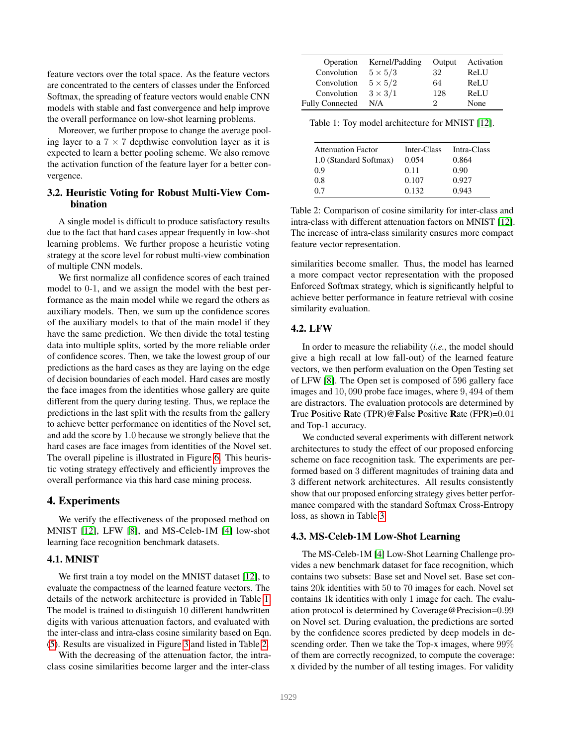feature vectors over the total space. As the feature vectors are concentrated to the centers of classes under the Enforced Softmax, the spreading of feature vectors would enable CNN models with stable and fast convergence and help improve the overall performance on low-shot learning problems.

Moreover, we further propose to change the average pooling layer to a  $7 \times 7$  depthwise convolution layer as it is expected to learn a better pooling scheme. We also remove the activation function of the feature layer for a better convergence.

#### 3.2. Heuristic Voting for Robust Multi-View Combination

A single model is difficult to produce satisfactory results due to the fact that hard cases appear frequently in low-shot learning problems. We further propose a heuristic voting strategy at the score level for robust multi-view combination of multiple CNN models.

We first normalize all confidence scores of each trained model to 0-1, and we assign the model with the best performance as the main model while we regard the others as auxiliary models. Then, we sum up the confidence scores of the auxiliary models to that of the main model if they have the same prediction. We then divide the total testing data into multiple splits, sorted by the more reliable order of confidence scores. Then, we take the lowest group of our predictions as the hard cases as they are laying on the edge of decision boundaries of each model. Hard cases are mostly the face images from the identities whose gallery are quite different from the query during testing. Thus, we replace the predictions in the last split with the results from the gallery to achieve better performance on identities of the Novel set, and add the score by 1.0 because we strongly believe that the hard cases are face images from identities of the Novel set. The overall pipeline is illustrated in Figure [6.](#page-6-0) This heuristic voting strategy effectively and efficiently improves the overall performance via this hard case mining process.

#### 4. Experiments

We verify the effectiveness of the proposed method on MNIST [\[12\]](#page-8-14), LFW [\[8\]](#page-8-15), and MS-Celeb-1M [\[4\]](#page-8-16) low-shot learning face recognition benchmark datasets.

#### 4.1. MNIST

We first train a toy model on the MNIST dataset [\[12\]](#page-8-14), to evaluate the compactness of the learned feature vectors. The details of the network architecture is provided in Table [1.](#page-5-1) The model is trained to distinguish 10 different handwritten digits with various attenuation factors, and evaluated with the inter-class and intra-class cosine similarity based on Eqn. [\(5\)](#page-4-3). Results are visualized in Figure [3](#page-3-3) and listed in Table [2.](#page-5-2)

With the decreasing of the attenuation factor, the intraclass cosine similarities become larger and the inter-class

<span id="page-5-1"></span>

| Operation              | Kernel/Padding | Output | Activation |
|------------------------|----------------|--------|------------|
| Convolution            | $5 \times 5/3$ | 32     | ReLU       |
| Convolution            | $5 \times 5/2$ | 64     | ReLU       |
| Convolution            | $3 \times 3/1$ | 128    | ReLU       |
| <b>Fully Connected</b> | N/A            | ')     | None       |

Table 1: Toy model architecture for MNIST [\[12\]](#page-8-14).

<span id="page-5-2"></span>

| <b>Attenuation Factor</b> | Inter-Class | Intra-Class |
|---------------------------|-------------|-------------|
| 1.0 (Standard Softmax)    | 0.054       | 0.864       |
| 0.9                       | 0.11        | 0.90        |
| 0.8                       | 0.107       | 0.927       |
| 0.7                       | 0.132       | 0.943       |

Table 2: Comparison of cosine similarity for inter-class and intra-class with different attenuation factors on MNIST [\[12\]](#page-8-14). The increase of intra-class similarity ensures more compact feature vector representation.

similarities become smaller. Thus, the model has learned a more compact vector representation with the proposed Enforced Softmax strategy, which is significantly helpful to achieve better performance in feature retrieval with cosine similarity evaluation.

#### 4.2. LFW

In order to measure the reliability (*i.e.*, the model should give a high recall at low fall-out) of the learned feature vectors, we then perform evaluation on the Open Testing set of LFW [\[8\]](#page-8-15). The Open set is composed of 596 gallery face images and 10, 090 probe face images, where 9, 494 of them are distractors. The evaluation protocols are determined by True Positive Rate (TPR)@False Positive Rate (FPR)=0.01 and Top-1 accuracy.

We conducted several experiments with different network architectures to study the effect of our proposed enforcing scheme on face recognition task. The experiments are performed based on 3 different magnitudes of training data and 3 different network architectures. All results consistently show that our proposed enforcing strategy gives better performance compared with the standard Softmax Cross-Entropy loss, as shown in Table [3.](#page-6-1)

#### <span id="page-5-0"></span>4.3. MS-Celeb-1M Low-Shot Learning

The MS-Celeb-1M [\[4\]](#page-8-16) Low-Shot Learning Challenge provides a new benchmark dataset for face recognition, which contains two subsets: Base set and Novel set. Base set contains 20k identities with 50 to 70 images for each. Novel set contains 1k identities with only 1 image for each. The evaluation protocol is determined by Coverage@Precision=0.99 on Novel set. During evaluation, the predictions are sorted by the confidence scores predicted by deep models in descending order. Then we take the Top-x images, where 99% of them are correctly recognized, to compute the coverage: x divided by the number of all testing images. For validity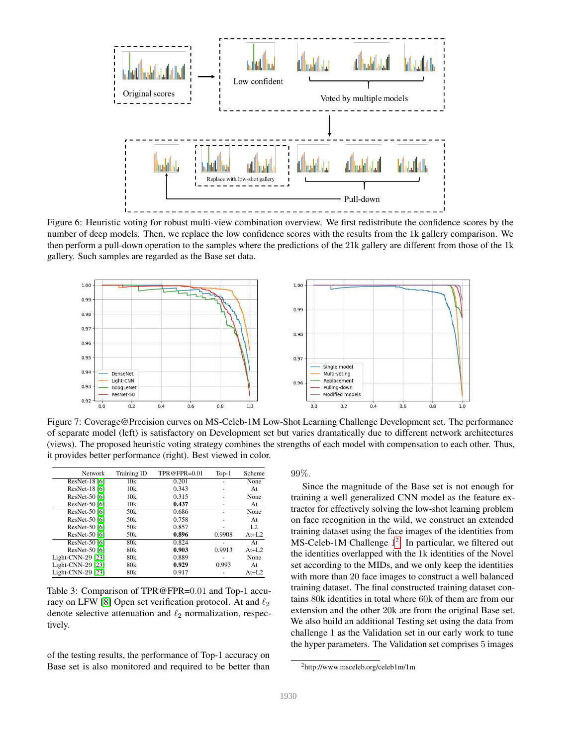<span id="page-6-0"></span>

Figure 6: Heuristic voting for robust multi-view combination overview. We first redistribute the confidence scores by the number of deep models. Then, we replace the low confidence scores with the results from the 1k gallery comparison. We then perform a pull-down operation to the samples where the predictions of the 21k gallery are different from those of the 1k gallery. Such samples are regarded as the Base set data.

<span id="page-6-3"></span>

Figure 7: Coverage@Precision curves on MS-Celeb-1M Low-Shot Learning Challenge Development set. The performance of separate model (left) is satisfactory on Development set but varies dramatically due to different network architectures (views). The proposed heuristic voting strategy combines the strengths of each model with compensation to each other. Thus, it provides better performance (right). Best viewed in color.

<span id="page-6-1"></span>

| <b>Network</b>    | <b>Training ID</b> | TPR@FPR= $0.01$ | $Top-1$ | Scheme         |
|-------------------|--------------------|-----------------|---------|----------------|
| ResNet-18 [6]     | 10k                | 0.201           |         | None           |
| ResNet-18 [6]     | 10k                | 0.343           |         | At             |
| ResNet-50 [6]     | 10k                | 0.315           |         | None           |
| ResNet-50 [6]     | 10k                | 0.437           |         | At             |
| ResNet-50 [6]     | 50 <sub>k</sub>    | 0.686           |         | None           |
| ResNet-50 [6]     | 50 <sub>k</sub>    | 0.758           |         | At             |
| ResNet-50 [6]     | 50 <sub>k</sub>    | 0.857           |         | L <sub>2</sub> |
| ResNet-50 [6]     | 50 <sub>k</sub>    | 0.896           | 0.9908  | $At+L2$        |
| ResNet-50 [6]     | 80k                | 0.824           |         | At             |
| ResNet-50 [6]     | 80k                | 0.903           | 0.9913  | $At+L2$        |
| Light-CNN-29 [23] | 80k                | 0.889           |         | None           |
| Light-CNN-29 [23] | 80k                | 0.929           | 0.993   | At             |
| Light-CNN-29 [23] | 80k                | 0.917           |         | $At+L2$        |

Table 3: Comparison of TPR@FPR=0.01 and Top-1 accu-racy on LFW [\[8\]](#page-8-15) Open set verification protocol. At and  $\ell_2$ denote selective attenuation and  $\ell_2$  normalization, respectively.

of the testing results, the performance of Top-1 accuracy on Base set is also monitored and required to be better than 99%.

Since the magnitude of the Base set is not enough for training a well generalized CNN model as the feature extractor for effectively solving the low-shot learning problem on face recognition in the wild, we construct an extended training dataset using the face images of the identities from MS-Celeb-1M Challenge 1<sup>[2](#page-6-2)</sup>. In particular, we filtered out the identities overlapped with the 1k identities of the Novel set according to the MIDs, and we only keep the identities with more than 20 face images to construct a well balanced training dataset. The final constructed training dataset contains 80k identities in total where 60k of them are from our extension and the other 20k are from the original Base set. We also build an additional Testing set using the data from challenge 1 as the Validation set in our early work to tune the hyper parameters. The Validation set comprises 5 images

<span id="page-6-2"></span><sup>2</sup>http://www.msceleb.org/celeb1m/1m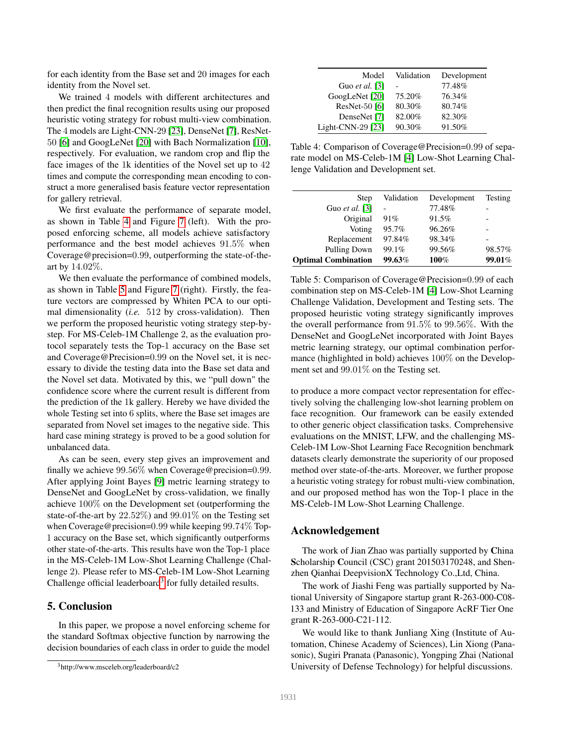for each identity from the Base set and 20 images for each identity from the Novel set.

We trained 4 models with different architectures and then predict the final recognition results using our proposed heuristic voting strategy for robust multi-view combination. The 4 models are Light-CNN-29 [\[23\]](#page-8-7), DenseNet [\[7\]](#page-8-21), ResNet-50 [\[6\]](#page-8-5) and GoogLeNet [\[20\]](#page-8-4) with Bach Normalization [\[10\]](#page-8-22), respectively. For evaluation, we random crop and flip the face images of the 1k identities of the Novel set up to 42 times and compute the corresponding mean encoding to construct a more generalised basis feature vector representation for gallery retrieval.

We first evaluate the performance of separate model, as shown in Table [4](#page-7-0) and Figure [7](#page-6-3) (left). With the proposed enforcing scheme, all models achieve satisfactory performance and the best model achieves 91.5% when Coverage@precision=0.99, outperforming the state-of-theart by 14.02%.

We then evaluate the performance of combined models, as shown in Table [5](#page-7-1) and Figure [7](#page-6-3) (right). Firstly, the feature vectors are compressed by Whiten PCA to our optimal dimensionality (*i.e.* 512 by cross-validation). Then we perform the proposed heuristic voting strategy step-bystep. For MS-Celeb-1M Challenge 2, as the evaluation protocol separately tests the Top-1 accuracy on the Base set and Coverage@Precision=0.99 on the Novel set, it is necessary to divide the testing data into the Base set data and the Novel set data. Motivated by this, we "pull down" the confidence score where the current result is different from the prediction of the 1k gallery. Hereby we have divided the whole Testing set into 6 splits, where the Base set images are separated from Novel set images to the negative side. This hard case mining strategy is proved to be a good solution for unbalanced data.

As can be seen, every step gives an improvement and finally we achieve 99.56% when Coverage@precision=0.99. After applying Joint Bayes [\[9\]](#page-8-23) metric learning strategy to DenseNet and GoogLeNet by cross-validation, we finally achieve 100% on the Development set (outperforming the state-of-the-art by 22.52%) and 99.01% on the Testing set when Coverage@precision=0.99 while keeping 99.74% Top-1 accuracy on the Base set, which significantly outperforms other state-of-the-arts. This results have won the Top-1 place in the MS-Celeb-1M Low-Shot Learning Challenge (Challenge 2). Please refer to MS-Celeb-1M Low-Shot Learning Challenge official leaderboard<sup>[3](#page-7-2)</sup> for fully detailed results.

### 5. Conclusion

In this paper, we propose a novel enforcing scheme for the standard Softmax objective function by narrowing the decision boundaries of each class in order to guide the model

<span id="page-7-0"></span>

| Model                 | Validation | Development |
|-----------------------|------------|-------------|
| Guo <i>et al.</i> [3] |            | 77.48%      |
| GoogLeNet [20]        | 75.20%     | 76.34%      |
| ResNet-50 [6]         | 80.30%     | 80.74%      |
| DenseNet [7]          | 82.00%     | 82.30%      |
| Light-CNN-29 [23]     | 90.30%     | 91.50%      |

Table 4: Comparison of Coverage@Precision=0.99 of separate model on MS-Celeb-1M [\[4\]](#page-8-16) Low-Shot Learning Challenge Validation and Development set.

<span id="page-7-1"></span>

| Step                       | Validation | Development | Testing |
|----------------------------|------------|-------------|---------|
| Guo <i>et al.</i> [3]      |            | 77.48%      |         |
| Original                   | 91%        | 91.5%       |         |
| Voting                     | 95.7%      | 96.26%      |         |
| Replacement                | 97.84%     | 98.34%      |         |
| <b>Pulling Down</b>        | 99.1%      | 99.56%      | 98.57%  |
| <b>Optimal Combination</b> | 99.63%     | 100%        | 99.01%  |

Table 5: Comparison of Coverage@Precision=0.99 of each combination step on MS-Celeb-1M [\[4\]](#page-8-16) Low-Shot Learning Challenge Validation, Development and Testing sets. The proposed heuristic voting strategy significantly improves the overall performance from 91.5% to 99.56%. With the DenseNet and GoogLeNet incorporated with Joint Bayes metric learning strategy, our optimal combination performance (highlighted in bold) achieves 100% on the Development set and 99.01% on the Testing set.

to produce a more compact vector representation for effectively solving the challenging low-shot learning problem on face recognition. Our framework can be easily extended to other generic object classification tasks. Comprehensive evaluations on the MNIST, LFW, and the challenging MS-Celeb-1M Low-Shot Learning Face Recognition benchmark datasets clearly demonstrate the superiority of our proposed method over state-of-the-arts. Moreover, we further propose a heuristic voting strategy for robust multi-view combination, and our proposed method has won the Top-1 place in the MS-Celeb-1M Low-Shot Learning Challenge.

#### Acknowledgement

The work of Jian Zhao was partially supported by China Scholarship Council (CSC) grant 201503170248, and Shenzhen Qianhai DeepvisionX Technology Co.,Ltd, China.

The work of Jiashi Feng was partially supported by National University of Singapore startup grant R-263-000-C08- 133 and Ministry of Education of Singapore AcRF Tier One grant R-263-000-C21-112.

We would like to thank Junliang Xing (Institute of Automation, Chinese Academy of Sciences), Lin Xiong (Panasonic), Sugiri Pranata (Panasonic), Yongping Zhai (National University of Defense Technology) for helpful discussions.

<span id="page-7-2"></span><sup>3</sup>http://www.msceleb.org/leaderboard/c2